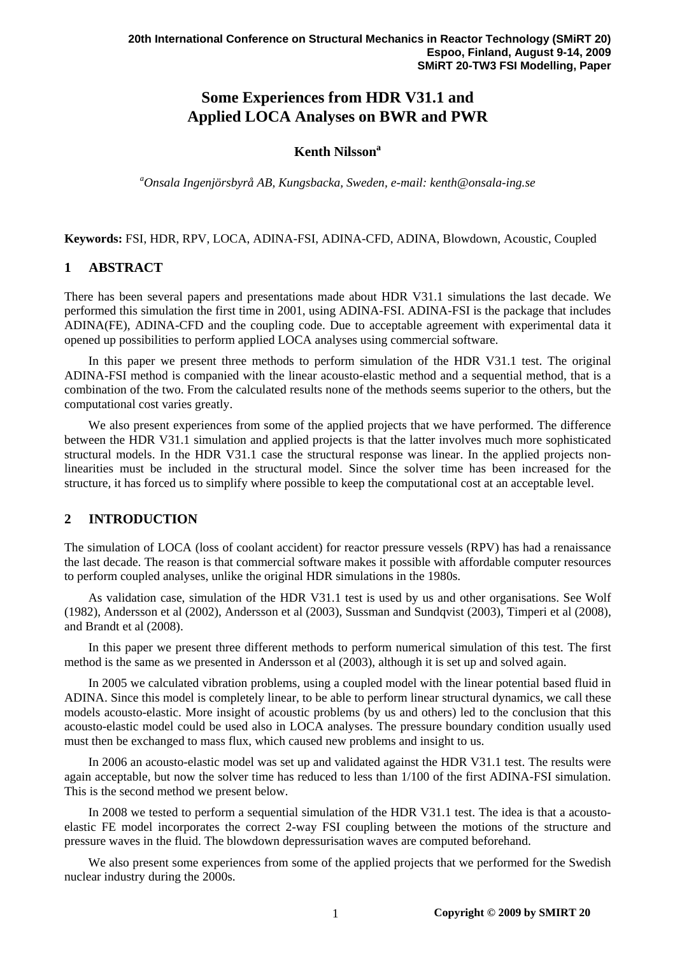# **Some Experiences from HDR V31.1 and Applied LOCA Analyses on BWR and PWR**

### **Kenth Nilsson<sup>a</sup>**

*a Onsala Ingenjörsbyrå AB, Kungsbacka, Sweden, e-mail: kenth@onsala-ing.se* 

**Keywords:** FSI, HDR, RPV, LOCA, ADINA-FSI, ADINA-CFD, ADINA, Blowdown, Acoustic, Coupled

# **1 ABSTRACT**

There has been several papers and presentations made about HDR V31.1 simulations the last decade. We performed this simulation the first time in 2001, using ADINA-FSI. ADINA-FSI is the package that includes ADINA(FE), ADINA-CFD and the coupling code. Due to acceptable agreement with experimental data it opened up possibilities to perform applied LOCA analyses using commercial software.

In this paper we present three methods to perform simulation of the HDR V31.1 test. The original ADINA-FSI method is companied with the linear acousto-elastic method and a sequential method, that is a combination of the two. From the calculated results none of the methods seems superior to the others, but the computational cost varies greatly.

We also present experiences from some of the applied projects that we have performed. The difference between the HDR V31.1 simulation and applied projects is that the latter involves much more sophisticated structural models. In the HDR V31.1 case the structural response was linear. In the applied projects nonlinearities must be included in the structural model. Since the solver time has been increased for the structure, it has forced us to simplify where possible to keep the computational cost at an acceptable level.

### **2 INTRODUCTION**

The simulation of LOCA (loss of coolant accident) for reactor pressure vessels (RPV) has had a renaissance the last decade. The reason is that commercial software makes it possible with affordable computer resources to perform coupled analyses, unlike the original HDR simulations in the 1980s.

As validation case, simulation of the HDR V31.1 test is used by us and other organisations. See Wolf (1982), Andersson et al (2002), Andersson et al (2003), Sussman and Sundqvist (2003), Timperi et al (2008), and Brandt et al (2008).

In this paper we present three different methods to perform numerical simulation of this test. The first method is the same as we presented in Andersson et al (2003), although it is set up and solved again.

In 2005 we calculated vibration problems, using a coupled model with the linear potential based fluid in ADINA. Since this model is completely linear, to be able to perform linear structural dynamics, we call these models acousto-elastic. More insight of acoustic problems (by us and others) led to the conclusion that this acousto-elastic model could be used also in LOCA analyses. The pressure boundary condition usually used must then be exchanged to mass flux, which caused new problems and insight to us.

In 2006 an acousto-elastic model was set up and validated against the HDR V31.1 test. The results were again acceptable, but now the solver time has reduced to less than 1/100 of the first ADINA-FSI simulation. This is the second method we present below.

In 2008 we tested to perform a sequential simulation of the HDR V31.1 test. The idea is that a acoustoelastic FE model incorporates the correct 2-way FSI coupling between the motions of the structure and pressure waves in the fluid. The blowdown depressurisation waves are computed beforehand.

We also present some experiences from some of the applied projects that we performed for the Swedish nuclear industry during the 2000s.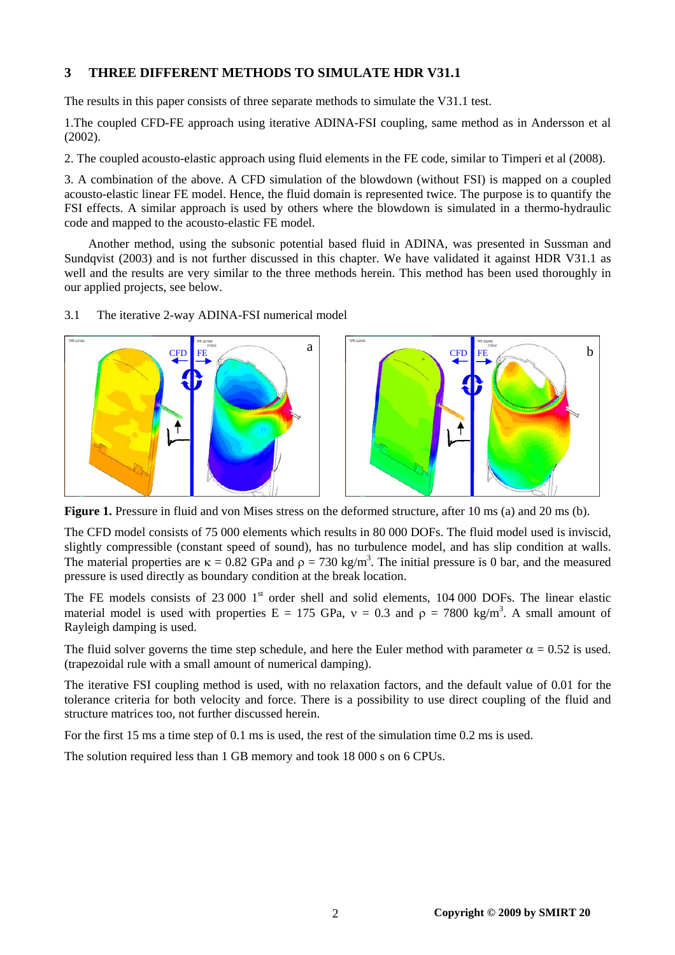# **3 THREE DIFFERENT METHODS TO SIMULATE HDR V31.1**

The results in this paper consists of three separate methods to simulate the V31.1 test.

1.The coupled CFD-FE approach using iterative ADINA-FSI coupling, same method as in Andersson et al (2002).

2. The coupled acousto-elastic approach using fluid elements in the FE code, similar to Timperi et al (2008).

3. A combination of the above. A CFD simulation of the blowdown (without FSI) is mapped on a coupled acousto-elastic linear FE model. Hence, the fluid domain is represented twice. The purpose is to quantify the FSI effects. A similar approach is used by others where the blowdown is simulated in a thermo-hydraulic code and mapped to the acousto-elastic FE model.

Another method, using the subsonic potential based fluid in ADINA, was presented in Sussman and Sundqvist (2003) and is not further discussed in this chapter. We have validated it against HDR V31.1 as well and the results are very similar to the three methods herein. This method has been used thoroughly in our applied projects, see below.

3.1 The iterative 2-way ADINA-FSI numerical model



**Figure 1.** Pressure in fluid and von Mises stress on the deformed structure, after 10 ms (a) and 20 ms (b).

The CFD model consists of 75 000 elements which results in 80 000 DOFs. The fluid model used is inviscid, slightly compressible (constant speed of sound), has no turbulence model, and has slip condition at walls. The material properties are  $\kappa = 0.82$  GPa and  $\rho = 730$  kg/m<sup>3</sup>. The initial pressure is 0 bar, and the measured pressure is used directly as boundary condition at the break location.

The FE models consists of 23 000 1<sup>st</sup> order shell and solid elements, 104 000 DOFs. The linear elastic material model is used with properties  $E = 175$  GPa,  $v = 0.3$  and  $\rho = 7800$  kg/m<sup>3</sup>. A small amount of Rayleigh damping is used.

The fluid solver governs the time step schedule, and here the Euler method with parameter  $\alpha = 0.52$  is used. (trapezoidal rule with a small amount of numerical damping).

The iterative FSI coupling method is used, with no relaxation factors, and the default value of 0.01 for the tolerance criteria for both velocity and force. There is a possibility to use direct coupling of the fluid and structure matrices too, not further discussed herein.

For the first 15 ms a time step of 0.1 ms is used, the rest of the simulation time 0.2 ms is used.

The solution required less than 1 GB memory and took 18 000 s on 6 CPUs.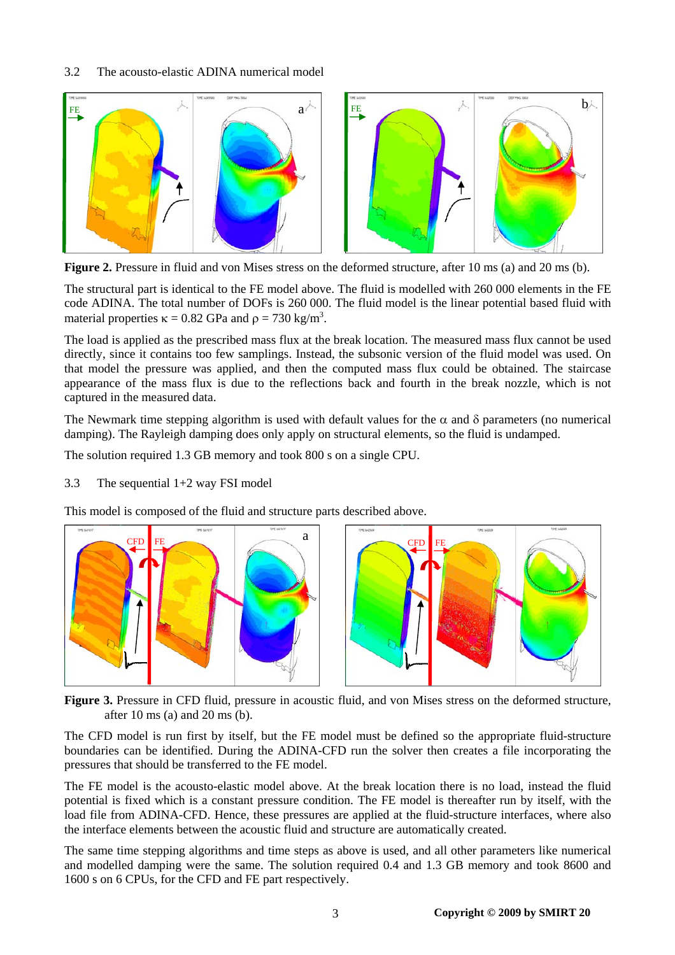#### 3.2 The acousto-elastic ADINA numerical model



**Figure 2.** Pressure in fluid and von Mises stress on the deformed structure, after 10 ms (a) and 20 ms (b).

The structural part is identical to the FE model above. The fluid is modelled with 260 000 elements in the FE code ADINA. The total number of DOFs is 260 000. The fluid model is the linear potential based fluid with material properties  $\kappa = 0.82$  GPa and  $\rho = 730$  kg/m<sup>3</sup>.

The load is applied as the prescribed mass flux at the break location. The measured mass flux cannot be used directly, since it contains too few samplings. Instead, the subsonic version of the fluid model was used. On that model the pressure was applied, and then the computed mass flux could be obtained. The staircase appearance of the mass flux is due to the reflections back and fourth in the break nozzle, which is not captured in the measured data.

The Newmark time stepping algorithm is used with default values for the  $\alpha$  and  $\delta$  parameters (no numerical damping). The Rayleigh damping does only apply on structural elements, so the fluid is undamped.

The solution required 1.3 GB memory and took 800 s on a single CPU.

#### 3.3 The sequential 1+2 way FSI model

This model is composed of the fluid and structure parts described above.



**Figure 3.** Pressure in CFD fluid, pressure in acoustic fluid, and von Mises stress on the deformed structure, after 10 ms (a) and 20 ms (b).

The CFD model is run first by itself, but the FE model must be defined so the appropriate fluid-structure boundaries can be identified. During the ADINA-CFD run the solver then creates a file incorporating the pressures that should be transferred to the FE model.

The FE model is the acousto-elastic model above. At the break location there is no load, instead the fluid potential is fixed which is a constant pressure condition. The FE model is thereafter run by itself, with the load file from ADINA-CFD. Hence, these pressures are applied at the fluid-structure interfaces, where also the interface elements between the acoustic fluid and structure are automatically created.

The same time stepping algorithms and time steps as above is used, and all other parameters like numerical and modelled damping were the same. The solution required 0.4 and 1.3 GB memory and took 8600 and 1600 s on 6 CPUs, for the CFD and FE part respectively.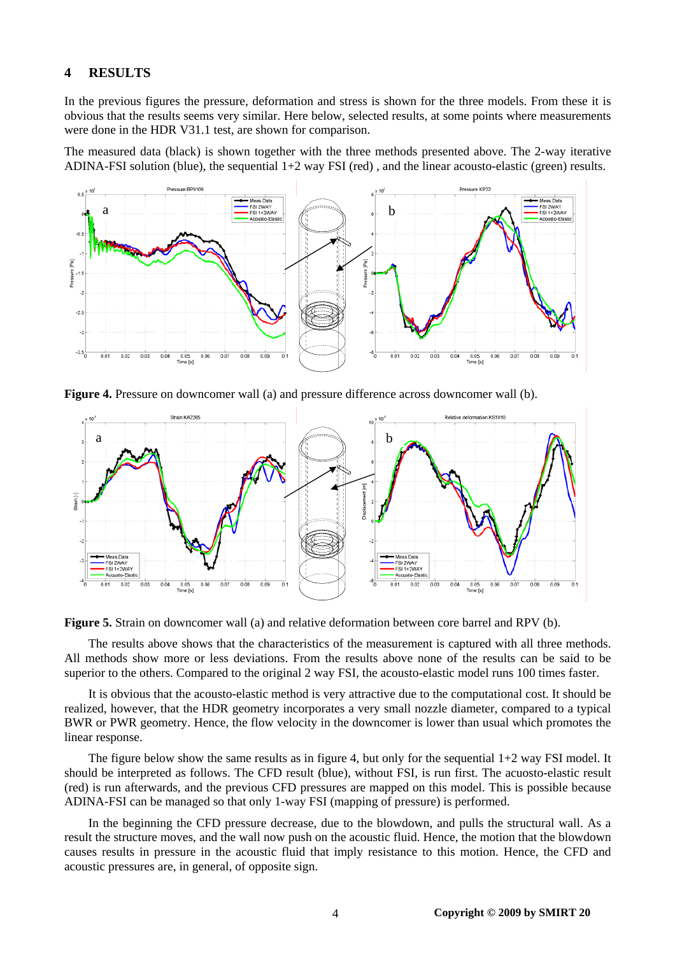#### **4 RESULTS**

In the previous figures the pressure, deformation and stress is shown for the three models. From these it is obvious that the results seems very similar. Here below, selected results, at some points where measurements were done in the HDR V31.1 test, are shown for comparison.

The measured data (black) is shown together with the three methods presented above. The 2-way iterative ADINA-FSI solution (blue), the sequential  $1+2$  way FSI (red), and the linear acousto-elastic (green) results.



**Figure 4.** Pressure on downcomer wall (a) and pressure difference across downcomer wall (b).



**Figure 5.** Strain on downcomer wall (a) and relative deformation between core barrel and RPV (b).

The results above shows that the characteristics of the measurement is captured with all three methods. All methods show more or less deviations. From the results above none of the results can be said to be superior to the others. Compared to the original 2 way FSI, the acousto-elastic model runs 100 times faster.

It is obvious that the acousto-elastic method is very attractive due to the computational cost. It should be realized, however, that the HDR geometry incorporates a very small nozzle diameter, compared to a typical BWR or PWR geometry. Hence, the flow velocity in the downcomer is lower than usual which promotes the linear response.

The figure below show the same results as in figure 4, but only for the sequential 1+2 way FSI model. It should be interpreted as follows. The CFD result (blue), without FSI, is run first. The acuosto-elastic result (red) is run afterwards, and the previous CFD pressures are mapped on this model. This is possible because ADINA-FSI can be managed so that only 1-way FSI (mapping of pressure) is performed.

In the beginning the CFD pressure decrease, due to the blowdown, and pulls the structural wall. As a result the structure moves, and the wall now push on the acoustic fluid. Hence, the motion that the blowdown causes results in pressure in the acoustic fluid that imply resistance to this motion. Hence, the CFD and acoustic pressures are, in general, of opposite sign.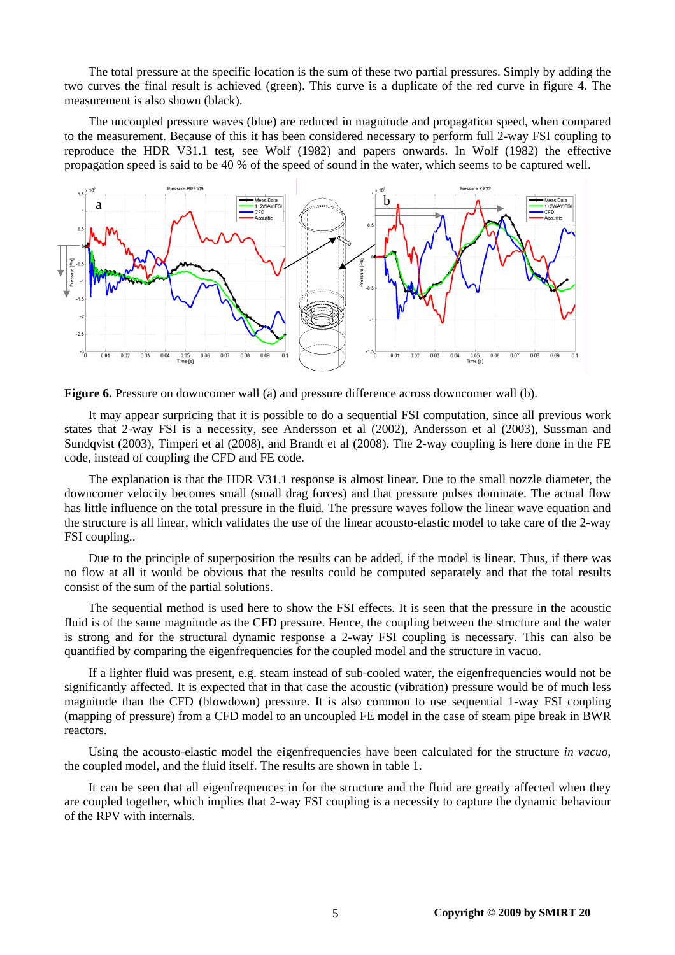The total pressure at the specific location is the sum of these two partial pressures. Simply by adding the two curves the final result is achieved (green). This curve is a duplicate of the red curve in figure 4. The measurement is also shown (black).

The uncoupled pressure waves (blue) are reduced in magnitude and propagation speed, when compared to the measurement. Because of this it has been considered necessary to perform full 2-way FSI coupling to reproduce the HDR V31.1 test, see Wolf (1982) and papers onwards. In Wolf (1982) the effective propagation speed is said to be 40 % of the speed of sound in the water, which seems to be captured well.



**Figure 6.** Pressure on downcomer wall (a) and pressure difference across downcomer wall (b).

It may appear surpricing that it is possible to do a sequential FSI computation, since all previous work states that 2-way FSI is a necessity, see Andersson et al (2002), Andersson et al (2003), Sussman and Sundqvist (2003), Timperi et al (2008), and Brandt et al (2008). The 2-way coupling is here done in the FE code, instead of coupling the CFD and FE code.

The explanation is that the HDR V31.1 response is almost linear. Due to the small nozzle diameter, the downcomer velocity becomes small (small drag forces) and that pressure pulses dominate. The actual flow has little influence on the total pressure in the fluid. The pressure waves follow the linear wave equation and the structure is all linear, which validates the use of the linear acousto-elastic model to take care of the 2-way FSI coupling..

Due to the principle of superposition the results can be added, if the model is linear. Thus, if there was no flow at all it would be obvious that the results could be computed separately and that the total results consist of the sum of the partial solutions.

The sequential method is used here to show the FSI effects. It is seen that the pressure in the acoustic fluid is of the same magnitude as the CFD pressure. Hence, the coupling between the structure and the water is strong and for the structural dynamic response a 2-way FSI coupling is necessary. This can also be quantified by comparing the eigenfrequencies for the coupled model and the structure in vacuo.

If a lighter fluid was present, e.g. steam instead of sub-cooled water, the eigenfrequencies would not be significantly affected. It is expected that in that case the acoustic (vibration) pressure would be of much less magnitude than the CFD (blowdown) pressure. It is also common to use sequential 1-way FSI coupling (mapping of pressure) from a CFD model to an uncoupled FE model in the case of steam pipe break in BWR reactors.

Using the acousto-elastic model the eigenfrequencies have been calculated for the structure *in vacuo*, the coupled model, and the fluid itself. The results are shown in table 1.

It can be seen that all eigenfrequences in for the structure and the fluid are greatly affected when they are coupled together, which implies that 2-way FSI coupling is a necessity to capture the dynamic behaviour of the RPV with internals.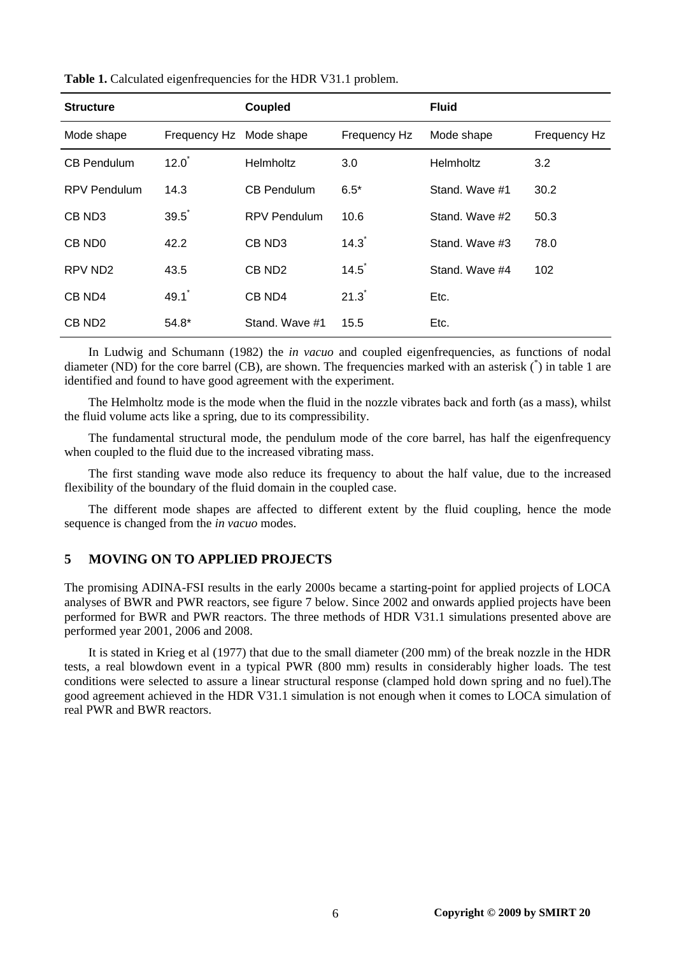| <b>Structure</b>    |                         | Coupled             |                     | <b>Fluid</b>     |              |
|---------------------|-------------------------|---------------------|---------------------|------------------|--------------|
| Mode shape          | Frequency Hz Mode shape |                     | Frequency Hz        | Mode shape       | Frequency Hz |
| <b>CB Pendulum</b>  | 12.0                    | <b>Helmholtz</b>    | 3.0                 | <b>Helmholtz</b> | 3.2          |
| <b>RPV Pendulum</b> | 14.3                    | <b>CB Pendulum</b>  | $6.5*$              | Stand. Wave #1   | 30.2         |
| CB ND <sub>3</sub>  | 39.5                    | <b>RPV Pendulum</b> | 10.6                | Stand. Wave #2   | 50.3         |
| CB ND <sub>0</sub>  | 42.2                    | CB ND3              | $14.3$ <sup>*</sup> | Stand. Wave #3   | 78.0         |
| RPV ND <sub>2</sub> | 43.5                    | CB ND <sub>2</sub>  | 14.5                | Stand. Wave #4   | 102          |
| CB ND4              | $49.1$ <sup>*</sup>     | CB ND4              | 21.3                | Etc.             |              |
| CB ND <sub>2</sub>  | $54.8*$                 | Stand. Wave #1      | 15.5                | Etc.             |              |

**Table 1.** Calculated eigenfrequencies for the HDR V31.1 problem.

In Ludwig and Schumann (1982) the *in vacuo* and coupled eigenfrequencies, as functions of nodal diameter (ND) for the core barrel (CB), are shown. The frequencies marked with an asterisk (\*) in table 1 are identified and found to have good agreement with the experiment.

The Helmholtz mode is the mode when the fluid in the nozzle vibrates back and forth (as a mass), whilst the fluid volume acts like a spring, due to its compressibility.

The fundamental structural mode, the pendulum mode of the core barrel, has half the eigenfrequency when coupled to the fluid due to the increased vibrating mass.

The first standing wave mode also reduce its frequency to about the half value, due to the increased flexibility of the boundary of the fluid domain in the coupled case.

The different mode shapes are affected to different extent by the fluid coupling, hence the mode sequence is changed from the *in vacuo* modes.

### **5 MOVING ON TO APPLIED PROJECTS**

The promising ADINA-FSI results in the early 2000s became a starting-point for applied projects of LOCA analyses of BWR and PWR reactors, see figure 7 below. Since 2002 and onwards applied projects have been performed for BWR and PWR reactors. The three methods of HDR V31.1 simulations presented above are performed year 2001, 2006 and 2008.

It is stated in Krieg et al (1977) that due to the small diameter (200 mm) of the break nozzle in the HDR tests, a real blowdown event in a typical PWR (800 mm) results in considerably higher loads. The test conditions were selected to assure a linear structural response (clamped hold down spring and no fuel).The good agreement achieved in the HDR V31.1 simulation is not enough when it comes to LOCA simulation of real PWR and BWR reactors.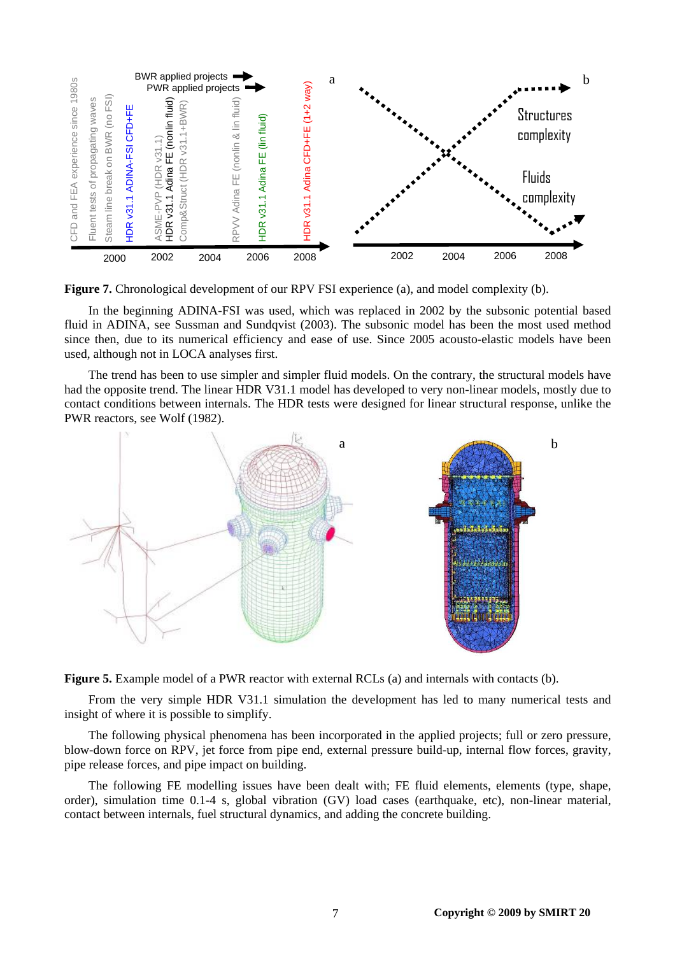

**Figure 7.** Chronological development of our RPV FSI experience (a), and model complexity (b).

In the beginning ADINA-FSI was used, which was replaced in 2002 by the subsonic potential based fluid in ADINA, see Sussman and Sundqvist (2003). The subsonic model has been the most used method since then, due to its numerical efficiency and ease of use. Since 2005 acousto-elastic models have been used, although not in LOCA analyses first.

The trend has been to use simpler and simpler fluid models. On the contrary, the structural models have had the opposite trend. The linear HDR V31.1 model has developed to very non-linear models, mostly due to contact conditions between internals. The HDR tests were designed for linear structural response, unlike the PWR reactors, see Wolf (1982).



**Figure 5.** Example model of a PWR reactor with external RCLs (a) and internals with contacts (b).

From the very simple HDR V31.1 simulation the development has led to many numerical tests and insight of where it is possible to simplify.

The following physical phenomena has been incorporated in the applied projects; full or zero pressure, blow-down force on RPV, jet force from pipe end, external pressure build-up, internal flow forces, gravity, pipe release forces, and pipe impact on building.

The following FE modelling issues have been dealt with; FE fluid elements, elements (type, shape, order), simulation time 0.1-4 s, global vibration (GV) load cases (earthquake, etc), non-linear material, contact between internals, fuel structural dynamics, and adding the concrete building.